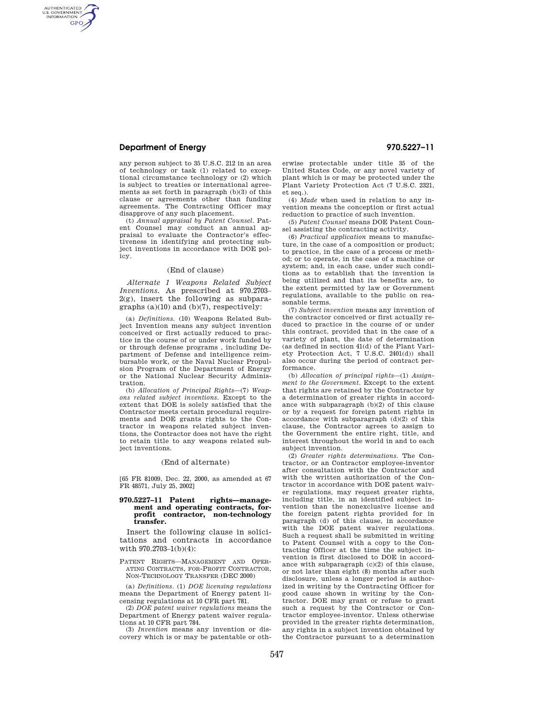## **Department of Energy 970.5227–11**

AUTHENTICATED<br>U.S. GOVERNMENT<br>INFORMATION **GPO** 

> any person subject to 35 U.S.C. 212 in an area of technology or task (1) related to exceptional circumstance technology or (2) which is subject to treaties or international agreements as set forth in paragraph (b)(3) of this clause or agreements other than funding agreements. The Contracting Officer may disapprove of any such placement.

> (t) *Annual appraisal by Patent Counsel.* Patent Counsel may conduct an annual appraisal to evaluate the Contractor's effectiveness in identifying and protecting subject inventions in accordance with DOE policy.

## (End of clause)

*Alternate 1 Weapons Related Subject Inventions.* As prescribed at 970.2703–  $2(g)$ , insert the following as subparagraphs (a)(10) and (b)(7), respectively:

(a) *Definitions.* (10) Weapons Related Subject Invention means any subject invention conceived or first actually reduced to practice in the course of or under work funded by or through defense programs , including Department of Defense and intelligence reimbursable work, or the Naval Nuclear Propulsion Program of the Department of Energy or the National Nuclear Security Administration.

(b) *Allocation of Principal Rights*—(7) *Weapons related subject inventions.* Except to the extent that DOE is solely satisfied that the Contractor meets certain procedural requirements and DOE grants rights to the Contractor in weapons related subject inventions, the Contractor does not have the right to retain title to any weapons related subject inventions.

#### (End of alternate)

[65 FR 81009, Dec. 22, 2000, as amended at 67 FR 48571, July 25, 2002]

### **970.5227–11 Patent rights—management and operating contracts, forprofit contractor, non-technology transfer.**

Insert the following clause in solicitations and contracts in accordance with 970.2703–1(b)(4):

PATENT RIGHTS—MANAGEMENT AND OPER-ATING CONTRACTS, FOR-PROFIT CONTRACTOR, NON-TECHNOLOGY TRANSFER (DEC 2000)

(a) *Definitions.* (1) *DOE licensing regulations*  means the Department of Energy patent licensing regulations at 10 CFR part 781.

(2) *DOE patent waiver regulations* means the Department of Energy patent waiver regulations at 10 CFR part 784.

(3) *Invention* means any invention or discovery which is or may be patentable or otherwise protectable under title 35 of the United States Code, or any novel variety of plant which is or may be protected under the Plant Variety Protection Act (7 U.S.C. 2321, et seq.).

(4) *Made* when used in relation to any invention means the conception or first actual reduction to practice of such invention.

(5) *Patent Counsel* means DOE Patent Counsel assisting the contracting activity.

(6) *Practical application* means to manufacture, in the case of a composition or product; to practice, in the case of a process or method; or to operate, in the case of a machine or system; and, in each case, under such conditions as to establish that the invention is being utilized and that its benefits are, to the extent permitted by law or Government regulations, available to the public on reasonable terms.

(7) *Subject invention* means any invention of the contractor conceived or first actually reduced to practice in the course of or under this contract, provided that in the case of a variety of plant, the date of determination (as defined in section 41(d) of the Plant Variety Protection Act, 7 U.S.C. 2401(d)) shall also occur during the period of contract performance.

(b) *Allocation of principal rights*—(1) *Assignment to the Government.* Except to the extent that rights are retained by the Contractor by a determination of greater rights in accordance with subparagraph (b)(2) of this clause or by a request for foreign patent rights in accordance with subparagraph (d)(2) of this clause, the Contractor agrees to assign to the Government the entire right, title, and interest throughout the world in and to each subject invention.

(2) *Greater rights determinations.* The Contractor, or an Contractor employee-inventor after consultation with the Contractor and with the written authorization of the Contractor in accordance with DOE patent waiver regulations, may request greater rights, including title, in an identified subject invention than the nonexclusive license and the foreign patent rights provided for in paragraph (d) of this clause, in accordance with the DOE patent waiver regulations. Such a request shall be submitted in writing to Patent Counsel with a copy to the Contracting Officer at the time the subject invention is first disclosed to DOE in accordance with subparagraph (c)(2) of this clause, or not later than eight (8) months after such disclosure, unless a longer period is authorized in writing by the Contracting Officer for good cause shown in writing by the Contractor. DOE may grant or refuse to grant such a request by the Contractor or Contractor employee-inventor. Unless otherwise provided in the greater rights determination, any rights in a subject invention obtained by the Contractor pursuant to a determination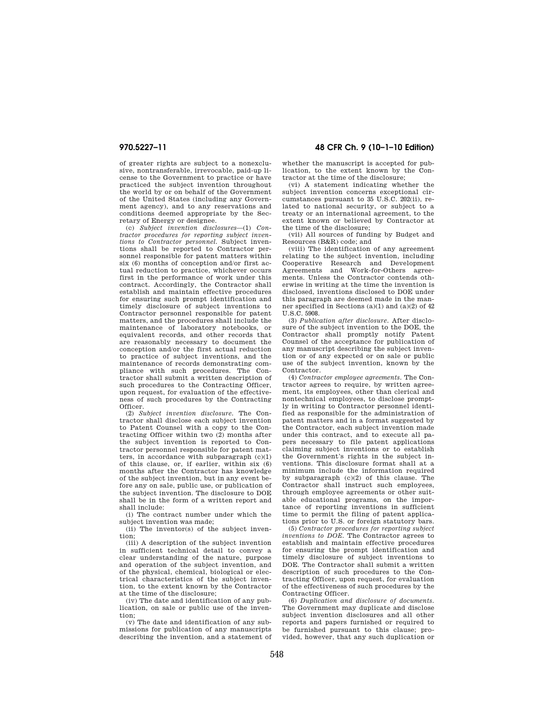of greater rights are subject to a nonexclusive, nontransferable, irrevocable, paid-up license to the Government to practice or have practiced the subject invention throughout the world by or on behalf of the Government of the United States (including any Government agency), and to any reservations and conditions deemed appropriate by the Secretary of Energy or designee.

(c) *Subject invention disclosures*—(1) *Contractor procedures for reporting subject inventions to Contractor personnel.* Subject inventions shall be reported to Contractor personnel responsible for patent matters within six (6) months of conception and/or first actual reduction to practice, whichever occurs first in the performance of work under this contract. Accordingly, the Contractor shall establish and maintain effective procedures for ensuring such prompt identification and timely disclosure of subject inventions to Contractor personnel responsible for patent matters, and the procedures shall include the maintenance of laboratory notebooks, or equivalent records, and other records that are reasonably necessary to document the conception and/or the first actual reduction to practice of subject inventions, and the maintenance of records demonstrating compliance with such procedures. The Contractor shall submit a written description of such procedures to the Contracting Officer, upon request, for evaluation of the effectiveness of such procedures by the Contracting Officer.

(2) *Subject invention disclosure.* The Contractor shall disclose each subject invention to Patent Counsel with a copy to the Contracting Officer within two (2) months after the subject invention is reported to Contractor personnel responsible for patent matters, in accordance with subparagraph (c)(1) of this clause, or, if earlier, within six (6) months after the Contractor has knowledge of the subject invention, but in any event before any on sale, public use, or publication of the subject invention. The disclosure to DOE shall be in the form of a written report and shall include:

(i) The contract number under which the subject invention was made;

(ii) The inventor(s) of the subject invention;

(iii) A description of the subject invention in sufficient technical detail to convey a clear understanding of the nature, purpose and operation of the subject invention, and of the physical, chemical, biological or electrical characteristics of the subject invention, to the extent known by the Contractor at the time of the disclosure;

(iv) The date and identification of any publication, on sale or public use of the invention;

(v) The date and identification of any submissions for publication of any manuscripts describing the invention, and a statement of

# **970.5227–11 48 CFR Ch. 9 (10–1–10 Edition)**

whether the manuscript is accepted for publication, to the extent known by the Contractor at the time of the disclosure;

(vi) A statement indicating whether the subject invention concerns exceptional circumstances pursuant to 35 U.S.C. 202(ii), related to national security, or subject to a treaty or an international agreement, to the extent known or believed by Contractor at the time of the disclosure;

(vii) All sources of funding by Budget and Resources (B&R) code; and

(viii) The identification of any agreement relating to the subject invention, including Cooperative Research and Development Agreements and Work-for-Others agreements. Unless the Contractor contends otherwise in writing at the time the invention is disclosed, inventions disclosed to DOE under this paragraph are deemed made in the manner specified in Sections (a)(1) and (a)(2) of 42  $U.S. \tilde{C}$  5908.

(3) *Publication after disclosure.* After disclosure of the subject invention to the DOE, the Contractor shall promptly notify Patent Counsel of the acceptance for publication of any manuscript describing the subject invention or of any expected or on sale or public use of the subject invention, known by the Contractor.

(4) *Contractor employee agreements.* The Contractor agrees to require, by written agreement, its employees, other than clerical and nontechnical employees, to disclose promptly in writing to Contractor personnel identified as responsible for the administration of patent matters and in a format suggested by the Contractor, each subject invention made under this contract, and to execute all papers necessary to file patent applications claiming subject inventions or to establish the Government's rights in the subject inventions. This disclosure format shall at a minimum include the information required by subparagraph (c)(2) of this clause. The Contractor shall instruct such employees, through employee agreements or other suitable educational programs, on the importance of reporting inventions in sufficient time to permit the filing of patent applications prior to U.S. or foreign statutory bars.

(5) *Contractor procedures for reporting subject inventions to DOE.* The Contractor agrees to establish and maintain effective procedures for ensuring the prompt identification and timely disclosure of subject inventions to DOE. The Contractor shall submit a written description of such procedures to the Contracting Officer, upon request, for evaluation of the effectiveness of such procedures by the Contracting Officer.

(6) *Duplication and disclosure of documents.*  The Government may duplicate and disclose subject invention disclosures and all other reports and papers furnished or required to be furnished pursuant to this clause; provided, however, that any such duplication or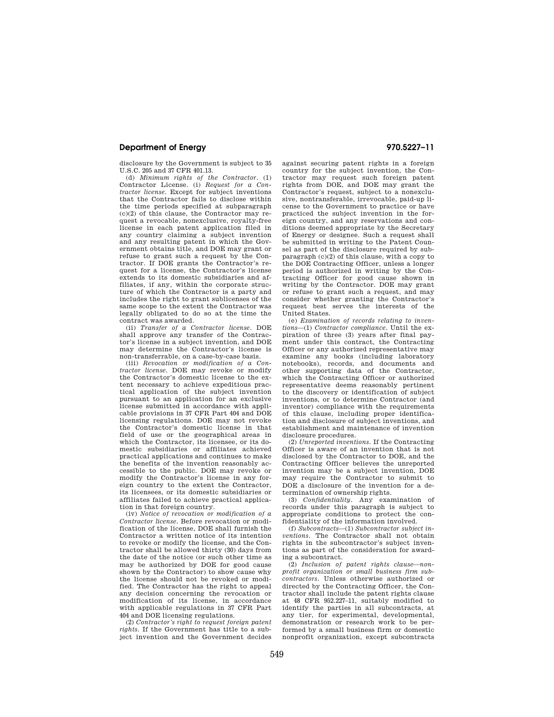## **Department of Energy 970.5227–11**

disclosure by the Government is subject to 35 U.S.C. 205 and 37 CFR 401.13.

(d) *Minimum rights of the Contractor.* (1) Contractor License. (i) *Request for a Contractor license.* Except for subject inventions that the Contractor fails to disclose within the time periods specified at subparagraph (c)(2) of this clause, the Contractor may request a revocable, nonexclusive, royalty-free license in each patent application filed in any country claiming a subject invention and any resulting patent in which the Government obtains title, and DOE may grant or refuse to grant such a request by the Contractor. If DOE grants the Contractor's request for a license, the Contractor's license extends to its domestic subsidiaries and affiliates, if any, within the corporate structure of which the Contractor is a party and includes the right to grant sublicenses of the same scope to the extent the Contractor was legally obligated to do so at the time the contract was awarded.

(ii) *Transfer of a Contractor license.* DOE shall approve any transfer of the Contractor's license in a subject invention, and DOE may determine the Contractor's license is non-transferrable, on a case-by-case basis.

(iii) *Revocation or modification of a Contractor license.* DOE may revoke or modify the Contractor's domestic license to the extent necessary to achieve expeditious practical application of the subject invention pursuant to an application for an exclusive license submitted in accordance with applicable provisions in 37 CFR Part 404 and DOE licensing regulations. DOE may not revoke the Contractor's domestic license in that field of use or the geographical areas in which the Contractor, its licensee, or its domestic subsidiaries or affiliates achieved practical applications and continues to make the benefits of the invention reasonably accessible to the public. DOE may revoke or modify the Contractor's license in any foreign country to the extent the Contractor, its licensees, or its domestic subsidiaries or affiliates failed to achieve practical application in that foreign country.

(iv) *Notice of revocation or modification of a Contractor license.* Before revocation or modification of the license, DOE shall furnish the Contractor a written notice of its intention to revoke or modify the license, and the Contractor shall be allowed thirty (30) days from the date of the notice (or such other time as may be authorized by DOE for good cause shown by the Contractor) to show cause why the license should not be revoked or modified. The Contractor has the right to appeal any decision concerning the revocation or modification of its license, in accordance with applicable regulations in 37 CFR Part 404 and DOE licensing regulations.

(2) *Contractor's right to request foreign patent rights.* If the Government has title to a subject invention and the Government decides against securing patent rights in a foreign country for the subject invention, the Contractor may request such foreign patent rights from DOE, and DOE may grant the Contractor's request, subject to a nonexclusive, nontransferable, irrevocable, paid-up license to the Government to practice or have practiced the subject invention in the foreign country, and any reservations and conditions deemed appropriate by the Secretary of Energy or designee. Such a request shall be submitted in writing to the Patent Counsel as part of the disclosure required by subparagraph (c)(2) of this clause, with a copy to the DOE Contracting Officer, unless a longer period is authorized in writing by the Contracting Officer for good cause shown in writing by the Contractor. DOE may grant or refuse to grant such a request, and may consider whether granting the Contractor's request best serves the interests of the United States.

(e) *Examination of records relating to inventions*—(1) *Contractor compliance.* Until the expiration of three (3) years after final payment under this contract, the Contracting Officer or any authorized representative may examine any books (including laboratory notebooks), records, and documents and other supporting data of the Contractor, which the Contracting Officer or authorized representative deems reasonably pertinent to the discovery or identification of subject inventions, or to determine Contractor (and inventor) compliance with the requirements of this clause, including proper identification and disclosure of subject inventions, and establishment and maintenance of invention disclosure procedures.

(2) *Unreported inventions.* If the Contracting Officer is aware of an invention that is not disclosed by the Contractor to DOE, and the Contracting Officer believes the unreported invention may be a subject invention, DOE may require the Contractor to submit to DOE a disclosure of the invention for a determination of ownership rights.

(3) *Confidentiality.* Any examination of records under this paragraph is subject to appropriate conditions to protect the confidentiality of the information involved.

(f) *Subcontracts*—(1) *Subcontractor subject inventions.* The Contractor shall not obtain rights in the subcontractor's subject inventions as part of the consideration for awarding a subcontract.

(2) *Inclusion of patent rights clause—nonprofit organization or small business firm subcontractors.* Unless otherwise authorized or directed by the Contracting Officer, the Contractor shall include the patent rights clause at 48 CFR 952.227–11, suitably modified to identify the parties in all subcontracts, at any tier, for experimental, developmental, demonstration or research work to be performed by a small business firm or domestic nonprofit organization, except subcontracts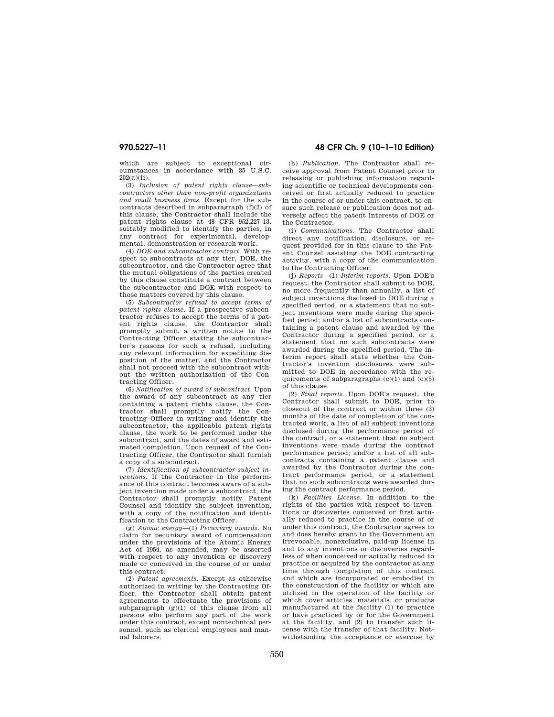which are subject to exceptional circumstances in accordance with 35 U.S.C. 202(a)(ii).

(3) *Inclusion of patent rights clause—subcontractors other than non-profit organizations and small business firms.* Except for the subcontracts described in subparagraph (f)(2) of this clause, the Contractor shall include the patent rights clause at 48 CFR 952.227–13, suitably modified to identify the parties, in any contract for experimental, developmental, demonstration or research work.

(4) *DOE and subcontractor contract.* With respect to subcontracts at any tier, DOE, the subcontractor, and the Contractor agree that the mutual obligations of the parties created by this clause constitute a contract between the subcontractor and DOE with respect to those matters covered by this clause.

(5) *Subcontractor refusal to accept terms of patent rights clause.* If a prospective subcontractor refuses to accept the terms of a patent rights clause, the Contractor shall promptly submit a written notice to the Contracting Officer stating the subcontractor's reasons for such a refusal, including any relevant information for expediting disposition of the matter, and the Contractor shall not proceed with the subcontract without the written authorization of the Contracting Officer.

(6) *Notification of award of subcontract.* Upon the award of any subcontract at any tier containing a patent rights clause, the Contractor shall promptly notify the Contracting Officer in writing and identify the subcontractor, the applicable patent rights clause, the work to be performed under the subcontract, and the dates of award and estimated completion. Upon request of the Contracting Officer, the Contractor shall furnish a copy of a subcontract.

(7) *Identification of subcontractor subject inventions.* If the Contractor in the performance of this contract becomes aware of a subject invention made under a subcontract, the Contractor shall promptly notify Patent Counsel and identify the subject invention, with a copy of the notification and identification to the Contracting Officer.

(g) *Atomic energy*—(1) *Pecuniary awards.* No claim for pecuniary award of compensation under the provisions of the Atomic Energy Act of 1954, as amended, may be asserted with respect to any invention or discovery made or conceived in the course of or under this contract.

(2) *Patent agreements.* Except as otherwise authorized in writing by the Contracting Officer, the Contractor shall obtain patent agreements to effectuate the provisions of subparagraph  $(g)(1)$  of this clause from all persons who perform any part of the work under this contract, except nontechnical personnel, such as clerical employees and manual laborers.

# **970.5227–11 48 CFR Ch. 9 (10–1–10 Edition)**

(h) *Publication.* The Contractor shall receive approval from Patent Counsel prior to releasing or publishing information regarding scientific or technical developments conceived or first actually reduced to practice in the course of or under this contract, to ensure such release or publication does not adversely affect the patent interests of DOE or the Contractor.

(i) *Communications.* The Contractor shall direct any notification, disclosure, or request provided for in this clause to the Patent Counsel assisting the DOE contracting activity, with a copy of the communication to the Contracting Officer.

(j) *Reports*—(1) *Interim reports.* Upon DOE's request, the Contractor shall submit to DOE, no more frequently than annually, a list of subject inventions disclosed to DOE during a specified period, or a statement that no subject inventions were made during the specified period; and/or a list of subcontracts containing a patent clause and awarded by the Contractor during a specified period, or a statement that no such subcontracts were awarded during the specified period. The interim report shall state whether the Contractor's invention disclosures were submitted to DOE in accordance with the requirements of subparagraphs  $(c)(1)$  and  $(c)(5)$ of this clause.

(2) *Final reports.* Upon DOE's request, the Contractor shall submit to DOE, prior to closeout of the contract or within three (3) months of the date of completion of the contracted work, a list of all subject inventions disclosed during the performance period of the contract, or a statement that no subject inventions were made during the contract performance period; and/or a list of all subcontracts containing a patent clause and awarded by the Contractor during the contract performance period, or a statement that no such subcontracts were awarded during the contract performance period.

(k) *Facilities License.* In addition to the rights of the parties with respect to inventions or discoveries conceived or first actually reduced to practice in the course of or under this contract, the Contractor agrees to and does hereby grant to the Government an irrevocable, nonexclusive, paid-up license in and to any inventions or discoveries regardless of when conceived or actually reduced to practice or acquired by the contractor at any time through completion of this contract and which are incorporated or embodied in the construction of the facility or which are utilized in the operation of the facility or which cover articles, materials, or products manufactured at the facility (1) to practice or have practiced by or for the Government at the facility, and (2) to transfer such license with the transfer of that facility. Notwithstanding the acceptance or exercise by